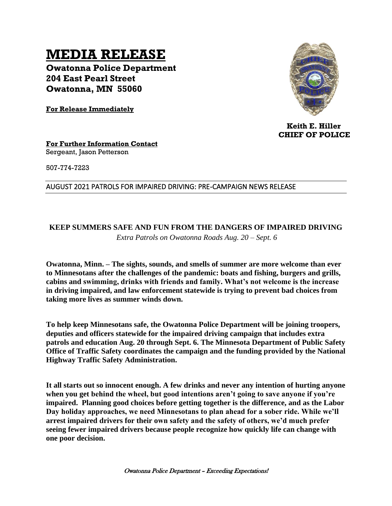# **MEDIA RELEASE**

**Owatonna Police Department 204 East Pearl Street Owatonna, MN 55060**

**For Release Immediately**



 **Keith E. Hiller CHIEF OF POLICE**

#### **For Further Information Contact** Sergeant, Jason Petterson

507-774-7223

#### AUGUST 2021 PATROLS FOR IMPAIRED DRIVING: PRE-CAMPAIGN NEWS RELEASE

## **KEEP SUMMERS SAFE AND FUN FROM THE DANGERS OF IMPAIRED DRIVING**  *Extra Patrols on Owatonna Roads Aug. 20 – Sept. 6*

**Owatonna, Minn. – The sights, sounds, and smells of summer are more welcome than ever to Minnesotans after the challenges of the pandemic: boats and fishing, burgers and grills, cabins and swimming, drinks with friends and family. What's not welcome is the increase in driving impaired, and law enforcement statewide is trying to prevent bad choices from taking more lives as summer winds down.** 

**To help keep Minnesotans safe, the Owatonna Police Department will be joining troopers, deputies and officers statewide for the impaired driving campaign that includes extra patrols and education Aug. 20 through Sept. 6. The Minnesota Department of Public Safety Office of Traffic Safety coordinates the campaign and the funding provided by the National Highway Traffic Safety Administration.**

**It all starts out so innocent enough. A few drinks and never any intention of hurting anyone when you get behind the wheel, but good intentions aren't going to save anyone if you're impaired. Planning good choices before getting together is the difference, and as the Labor Day holiday approaches, we need Minnesotans to plan ahead for a sober ride. While we'll arrest impaired drivers for their own safety and the safety of others, we'd much prefer seeing fewer impaired drivers because people recognize how quickly life can change with one poor decision.**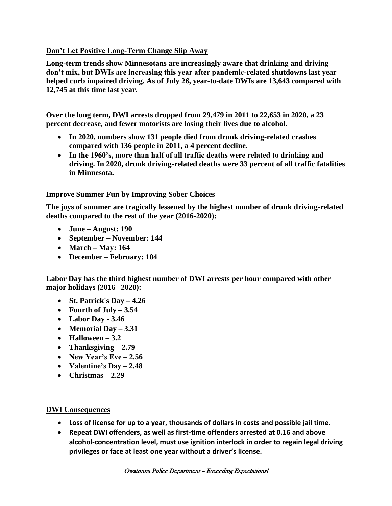## **Don't Let Positive Long-Term Change Slip Away**

**Long-term trends show Minnesotans are increasingly aware that drinking and driving don't mix, but DWIs are increasing this year after pandemic-related shutdowns last year helped curb impaired driving. As of July 26, year-to-date DWIs are 13,643 compared with 12,745 at this time last year.**

**Over the long term, DWI arrests dropped from 29,479 in 2011 to 22,653 in 2020, a 23 percent decrease, and fewer motorists are losing their lives due to alcohol.** 

- **In 2020, numbers show 131 people died from drunk driving-related crashes compared with 136 people in 2011, a 4 percent decline.**
- **In the 1960's, more than half of all traffic deaths were related to drinking and driving. In 2020, drunk driving-related deaths were 33 percent of all traffic fatalities in Minnesota.**

### **Improve Summer Fun by Improving Sober Choices**

**The joys of summer are tragically lessened by the highest number of drunk driving-related deaths compared to the rest of the year (2016-2020):** 

- **June – August: 190**
- **September – November: 144**
- **March – May: 164**
- **December – February: 104**

**Labor Day has the third highest number of DWI arrests per hour compared with other major holidays (2016– 2020):**

- **St. Patrick's Day – 4.26**
- **Fourth of July – 3.54**
- **Labor Day - 3.46**
- **Memorial Day – 3.31**
- **Halloween – 3.2**
- **Thanksgiving – 2.79**
- **New Year's Eve – 2.56**
- **Valentine's Day – 2.48**
- **Christmas – 2.29**

### **DWI Consequences**

- **Loss of license for up to a year, thousands of dollars in costs and possible jail time.**
- **Repeat DWI offenders, as well as first-time offenders arrested at 0.16 and above alcohol-concentration level, must use ignition interlock in order to regain legal driving privileges or face at least one year without a driver's license.**